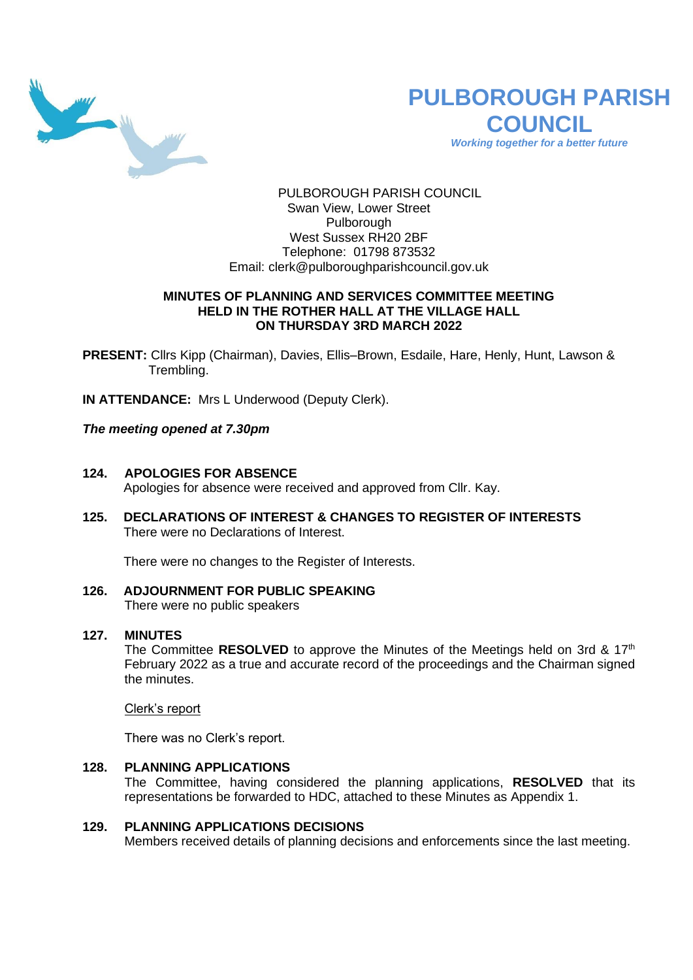

# **PULBOROUGH PARISH COUNCIL**

*Working together for a better future*

PULBOROUGH PARISH COUNCIL Swan View, Lower Street Pulborough West Sussex RH20 2BF Telephone: 01798 873532 Email: [clerk@pulboroughparishcouncil.gov.uk](mailto:clerk@pulboroughparishcouncil.gov.uk)

# **MINUTES OF PLANNING AND SERVICES COMMITTEE MEETING HELD IN THE ROTHER HALL AT THE VILLAGE HALL ON THURSDAY 3RD MARCH 2022**

**PRESENT:** Cllrs Kipp (Chairman), Davies, Ellis–Brown, Esdaile, Hare, Henly, Hunt, Lawson & Trembling.

**IN ATTENDANCE:** Mrs L Underwood (Deputy Clerk).

*The meeting opened at 7.30pm* 

- **124. APOLOGIES FOR ABSENCE** Apologies for absence were received and approved from Cllr. Kay.
- **125. DECLARATIONS OF INTEREST & CHANGES TO REGISTER OF INTERESTS** There were no Declarations of Interest.

There were no changes to the Register of Interests.

**126. ADJOURNMENT FOR PUBLIC SPEAKING** There were no public speakers

# **127. MINUTES**

The Committee **RESOLVED** to approve the Minutes of the Meetings held on 3rd & 17<sup>th</sup> February 2022 as a true and accurate record of the proceedings and the Chairman signed the minutes.

Clerk's report

There was no Clerk's report.

**128. PLANNING APPLICATIONS** The Committee, having considered the planning applications, **RESOLVED** that its representations be forwarded to HDC, attached to these Minutes as Appendix 1.

# **129. PLANNING APPLICATIONS DECISIONS**

Members received details of planning decisions and enforcements since the last meeting.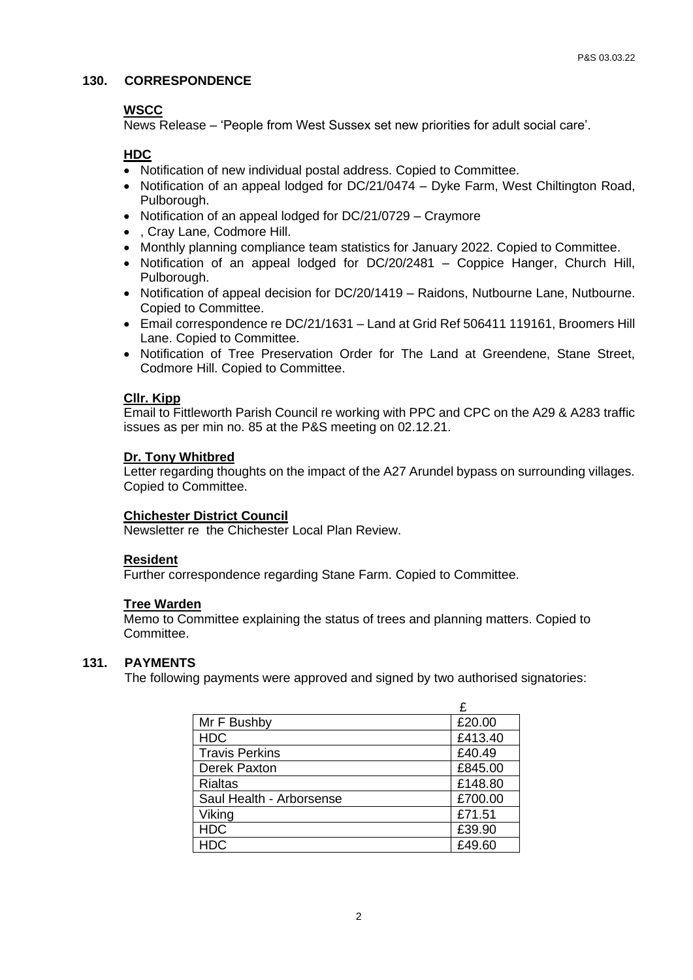# **130. CORRESPONDENCE**

#### **WSCC**

News Release – 'People from West Sussex set new priorities for adult social care'.

# **HDC**

- Notification of new individual postal address. Copied to Committee.
- Notification of an appeal lodged for DC/21/0474 Dyke Farm, West Chiltington Road, Pulborough.
- Notification of an appeal lodged for DC/21/0729 Craymore
- , Cray Lane, Codmore Hill.
- Monthly planning compliance team statistics for January 2022. Copied to Committee.
- Notification of an appeal lodged for DC/20/2481 Coppice Hanger, Church Hill, Pulborough.
- Notification of appeal decision for DC/20/1419 Raidons, Nutbourne Lane, Nutbourne. Copied to Committee.
- Email correspondence re DC/21/1631 Land at Grid Ref 506411 119161, Broomers Hill Lane. Copied to Committee.
- Notification of Tree Preservation Order for The Land at Greendene, Stane Street, Codmore Hill. Copied to Committee.

# **Cllr. Kipp**

Email to Fittleworth Parish Council re working with PPC and CPC on the A29 & A283 traffic issues as per min no. 85 at the P&S meeting on 02.12.21.

# **Dr. Tony Whitbred**

Letter regarding thoughts on the impact of the A27 Arundel bypass on surrounding villages. Copied to Committee.

#### **Chichester District Council**

Newsletter re the Chichester Local Plan Review.

# **Resident**

Further correspondence regarding Stane Farm. Copied to Committee.

#### **Tree Warden**

Memo to Committee explaining the status of trees and planning matters. Copied to Committee.

#### **131. PAYMENTS**

The following payments were approved and signed by two authorised signatories:

|                          | £       |
|--------------------------|---------|
| Mr F Bushby              | £20.00  |
| <b>HDC</b>               | £413.40 |
| <b>Travis Perkins</b>    | £40.49  |
| Derek Paxton             | £845.00 |
| <b>Rialtas</b>           | £148.80 |
| Saul Health - Arborsense | £700.00 |
| Viking                   | £71.51  |
| <b>HDC</b>               | £39.90  |
| <b>HDC</b>               | £49.60  |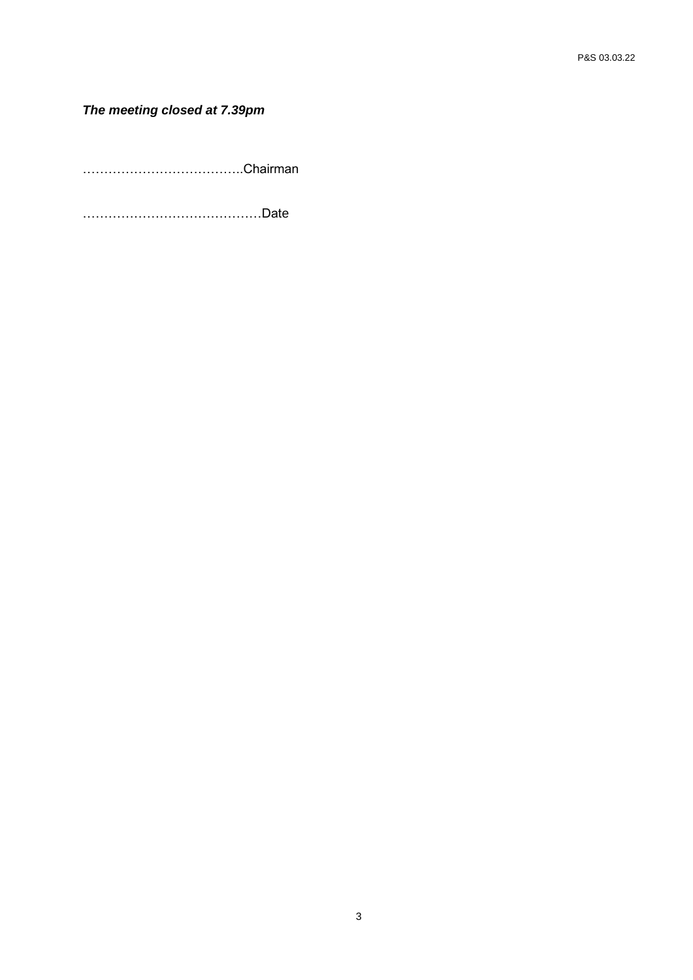# *The meeting closed at 7.39pm*

………………………………..Chairman

……………………………………Date